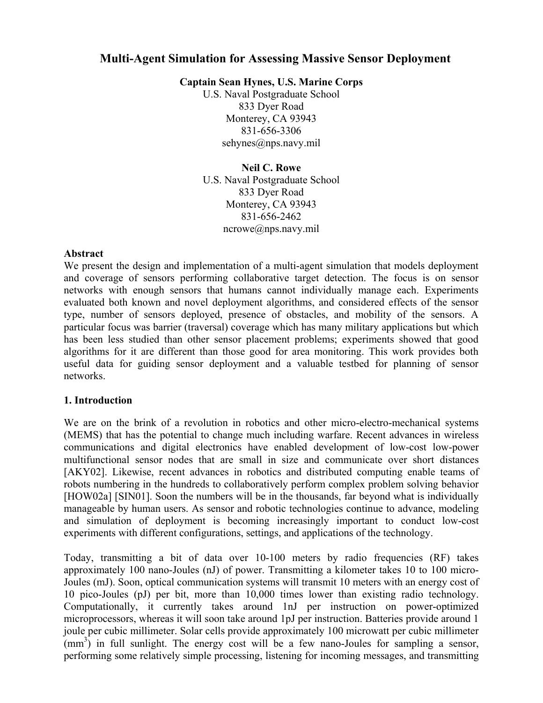# **Multi-Agent Simulation for Assessing Massive Sensor Deployment**

**Captain Sean Hynes, U.S. Marine Corps** 

U.S. Naval Postgraduate School 833 Dyer Road Monterey, CA 93943 831-656-3306 sehynes@nps.navy.mil

**Neil C. Rowe** 

U.S. Naval Postgraduate School 833 Dyer Road Monterey, CA 93943 831-656-2462 ncrowe@nps.navy.mil

#### **Abstract**

We present the design and implementation of a multi-agent simulation that models deployment and coverage of sensors performing collaborative target detection. The focus is on sensor networks with enough sensors that humans cannot individually manage each. Experiments evaluated both known and novel deployment algorithms, and considered effects of the sensor type, number of sensors deployed, presence of obstacles, and mobility of the sensors. A particular focus was barrier (traversal) coverage which has many military applications but which has been less studied than other sensor placement problems; experiments showed that good algorithms for it are different than those good for area monitoring. This work provides both useful data for guiding sensor deployment and a valuable testbed for planning of sensor networks.

## **1. Introduction**

We are on the brink of a revolution in robotics and other micro-electro-mechanical systems (MEMS) that has the potential to change much including warfare. Recent advances in wireless communications and digital electronics have enabled development of low-cost low-power multifunctional sensor nodes that are small in size and communicate over short distances [AKY02]. Likewise, recent advances in robotics and distributed computing enable teams of robots numbering in the hundreds to collaboratively perform complex problem solving behavior [HOW02a] [SIN01]. Soon the numbers will be in the thousands, far beyond what is individually manageable by human users. As sensor and robotic technologies continue to advance, modeling and simulation of deployment is becoming increasingly important to conduct low-cost experiments with different configurations, settings, and applications of the technology.

Today, transmitting a bit of data over 10-100 meters by radio frequencies (RF) takes approximately 100 nano-Joules (nJ) of power. Transmitting a kilometer takes 10 to 100 micro-Joules (mJ). Soon, optical communication systems will transmit 10 meters with an energy cost of 10 pico-Joules (pJ) per bit, more than 10,000 times lower than existing radio technology. Computationally, it currently takes around 1nJ per instruction on power-optimized microprocessors, whereas it will soon take around 1pJ per instruction. Batteries provide around 1 joule per cubic millimeter. Solar cells provide approximately 100 microwatt per cubic millimeter  $\text{(mm)}^3$ ) in full sunlight. The energy cost will be a few nano-Joules for sampling a sensor, performing some relatively simple processing, listening for incoming messages, and transmitting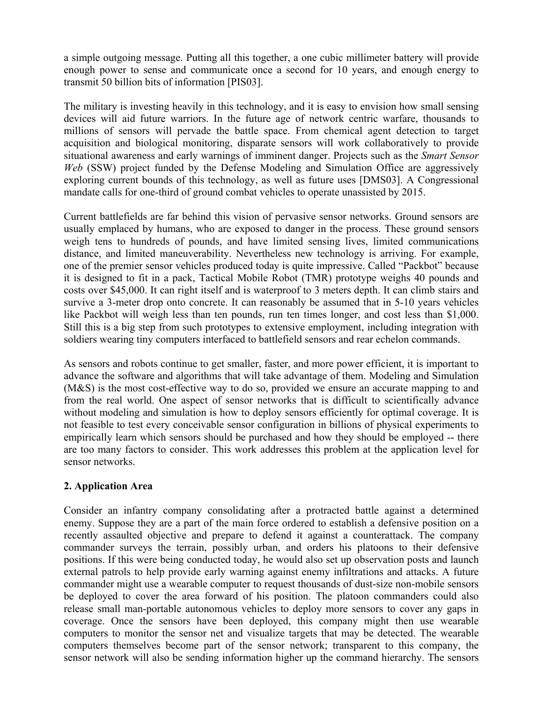a simple outgoing message. Putting all this together, a one cubic millimeter battery will provide enough power to sense and communicate once a second for 10 years, and enough energy to transmit 50 billion bits of information [PIS03].

The military is investing heavily in this technology, and it is easy to envision how small sensing devices will aid future warriors. In the future age of network centric warfare, thousands to millions of sensors will pervade the battle space. From chemical agent detection to target acquisition and biological monitoring, disparate sensors will work collaboratively to provide situational awareness and early warnings of imminent danger. Projects such as the *Smart Sensor Web* (SSW) project funded by the Defense Modeling and Simulation Office are aggressively exploring current bounds of this technology, as well as future uses [DMS03]. A Congressional mandate calls for one-third of ground combat vehicles to operate unassisted by 2015.

Current battlefields are far behind this vision of pervasive sensor networks. Ground sensors are usually emplaced by humans, who are exposed to danger in the process. These ground sensors weigh tens to hundreds of pounds, and have limited sensing lives, limited communications distance, and limited maneuverability. Nevertheless new technology is arriving. For example, one of the premier sensor vehicles produced today is quite impressive. Called "Packbot" because it is designed to fit in a pack, Tactical Mobile Robot (TMR) prototype weighs 40 pounds and costs over \$45,000. It can right itself and is waterproof to 3 meters depth. It can climb stairs and survive a 3-meter drop onto concrete. It can reasonably be assumed that in 5-10 years vehicles like Packbot will weigh less than ten pounds, run ten times longer, and cost less than \$1,000. Still this is a big step from such prototypes to extensive employment, including integration with soldiers wearing tiny computers interfaced to battlefield sensors and rear echelon commands.

As sensors and robots continue to get smaller, faster, and more power efficient, it is important to advance the software and algorithms that will take advantage of them. Modeling and Simulation (M&S) is the most cost-effective way to do so, provided we ensure an accurate mapping to and from the real world. One aspect of sensor networks that is difficult to scientifically advance without modeling and simulation is how to deploy sensors efficiently for optimal coverage. It is not feasible to test every conceivable sensor configuration in billions of physical experiments to empirically learn which sensors should be purchased and how they should be employed -- there are too many factors to consider. This work addresses this problem at the application level for sensor networks.

## **2. Application Area**

Consider an infantry company consolidating after a protracted battle against a determined enemy. Suppose they are a part of the main force ordered to establish a defensive position on a recently assaulted objective and prepare to defend it against a counterattack. The company commander surveys the terrain, possibly urban, and orders his platoons to their defensive positions. If this were being conducted today, he would also set up observation posts and launch external patrols to help provide early warning against enemy infiltrations and attacks. A future commander might use a wearable computer to request thousands of dust-size non-mobile sensors be deployed to cover the area forward of his position. The platoon commanders could also release small man-portable autonomous vehicles to deploy more sensors to cover any gaps in coverage. Once the sensors have been deployed, this company might then use wearable computers to monitor the sensor net and visualize targets that may be detected. The wearable computers themselves become part of the sensor network; transparent to this company, the sensor network will also be sending information higher up the command hierarchy. The sensors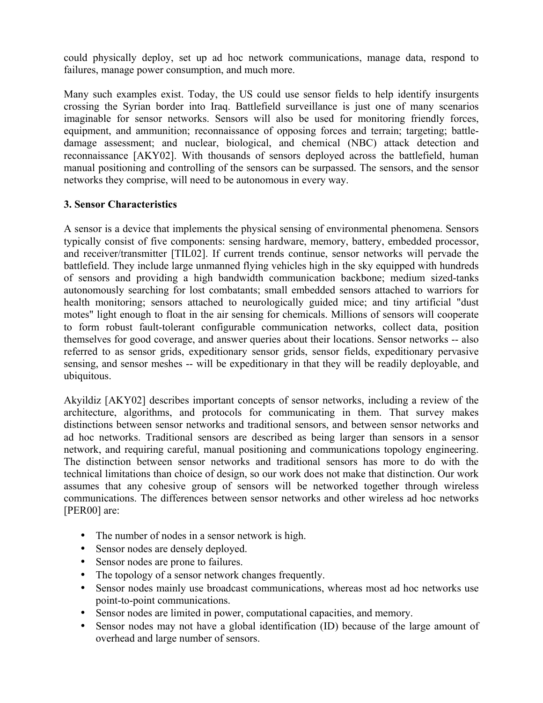could physically deploy, set up ad hoc network communications, manage data, respond to failures, manage power consumption, and much more.

Many such examples exist. Today, the US could use sensor fields to help identify insurgents crossing the Syrian border into Iraq. Battlefield surveillance is just one of many scenarios imaginable for sensor networks. Sensors will also be used for monitoring friendly forces, equipment, and ammunition; reconnaissance of opposing forces and terrain; targeting; battledamage assessment; and nuclear, biological, and chemical (NBC) attack detection and reconnaissance [AKY02]. With thousands of sensors deployed across the battlefield, human manual positioning and controlling of the sensors can be surpassed. The sensors, and the sensor networks they comprise, will need to be autonomous in every way.

## **3. Sensor Characteristics**

A sensor is a device that implements the physical sensing of environmental phenomena. Sensors typically consist of five components: sensing hardware, memory, battery, embedded processor, and receiver/transmitter [TIL02]. If current trends continue, sensor networks will pervade the battlefield. They include large unmanned flying vehicles high in the sky equipped with hundreds of sensors and providing a high bandwidth communication backbone; medium sized-tanks autonomously searching for lost combatants; small embedded sensors attached to warriors for health monitoring; sensors attached to neurologically guided mice; and tiny artificial "dust motes" light enough to float in the air sensing for chemicals. Millions of sensors will cooperate to form robust fault-tolerant configurable communication networks, collect data, position themselves for good coverage, and answer queries about their locations. Sensor networks -- also referred to as sensor grids, expeditionary sensor grids, sensor fields, expeditionary pervasive sensing, and sensor meshes -- will be expeditionary in that they will be readily deployable, and ubiquitous.

Akyildiz [AKY02] describes important concepts of sensor networks, including a review of the architecture, algorithms, and protocols for communicating in them. That survey makes distinctions between sensor networks and traditional sensors, and between sensor networks and ad hoc networks. Traditional sensors are described as being larger than sensors in a sensor network, and requiring careful, manual positioning and communications topology engineering. The distinction between sensor networks and traditional sensors has more to do with the technical limitations than choice of design, so our work does not make that distinction. Our work assumes that any cohesive group of sensors will be networked together through wireless communications. The differences between sensor networks and other wireless ad hoc networks [PER00] are:

- The number of nodes in a sensor network is high.
- Sensor nodes are densely deployed.
- Sensor nodes are prone to failures.
- The topology of a sensor network changes frequently.
- Sensor nodes mainly use broadcast communications, whereas most ad hoc networks use point-to-point communications.
- Sensor nodes are limited in power, computational capacities, and memory.
- Sensor nodes may not have a global identification (ID) because of the large amount of overhead and large number of sensors.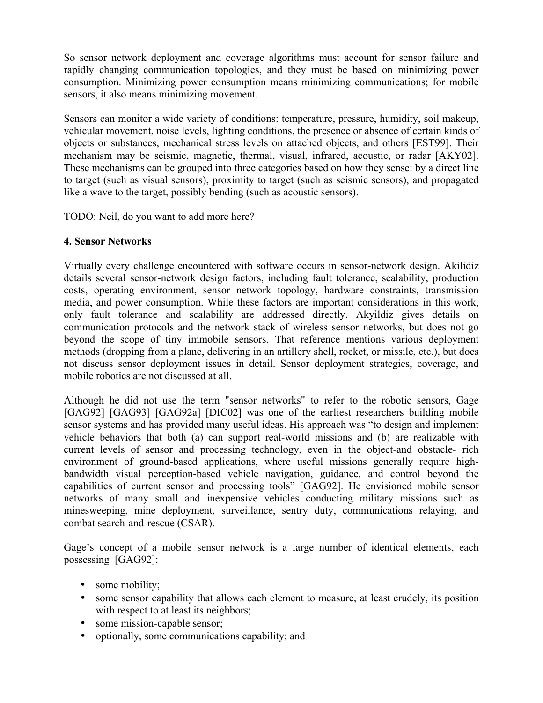So sensor network deployment and coverage algorithms must account for sensor failure and rapidly changing communication topologies, and they must be based on minimizing power consumption. Minimizing power consumption means minimizing communications; for mobile sensors, it also means minimizing movement.

Sensors can monitor a wide variety of conditions: temperature, pressure, humidity, soil makeup, vehicular movement, noise levels, lighting conditions, the presence or absence of certain kinds of objects or substances, mechanical stress levels on attached objects, and others [EST99]. Their mechanism may be seismic, magnetic, thermal, visual, infrared, acoustic, or radar [AKY02]. These mechanisms can be grouped into three categories based on how they sense: by a direct line to target (such as visual sensors), proximity to target (such as seismic sensors), and propagated like a wave to the target, possibly bending (such as acoustic sensors).

TODO: Neil, do you want to add more here?

### **4. Sensor Networks**

Virtually every challenge encountered with software occurs in sensor-network design. Akilidiz details several sensor-network design factors, including fault tolerance, scalability, production costs, operating environment, sensor network topology, hardware constraints, transmission media, and power consumption. While these factors are important considerations in this work, only fault tolerance and scalability are addressed directly. Akyildiz gives details on communication protocols and the network stack of wireless sensor networks, but does not go beyond the scope of tiny immobile sensors. That reference mentions various deployment methods (dropping from a plane, delivering in an artillery shell, rocket, or missile, etc.), but does not discuss sensor deployment issues in detail. Sensor deployment strategies, coverage, and mobile robotics are not discussed at all.

Although he did not use the term "sensor networks" to refer to the robotic sensors, Gage [GAG92] [GAG93] [GAG92a] [DIC02] was one of the earliest researchers building mobile sensor systems and has provided many useful ideas. His approach was "to design and implement vehicle behaviors that both (a) can support real-world missions and (b) are realizable with current levels of sensor and processing technology, even in the object-and obstacle- rich environment of ground-based applications, where useful missions generally require highbandwidth visual perception-based vehicle navigation, guidance, and control beyond the capabilities of current sensor and processing tools" [GAG92]. He envisioned mobile sensor networks of many small and inexpensive vehicles conducting military missions such as minesweeping, mine deployment, surveillance, sentry duty, communications relaying, and combat search-and-rescue (CSAR).

Gage's concept of a mobile sensor network is a large number of identical elements, each possessing [GAG92]:

- some mobility;
- some sensor capability that allows each element to measure, at least crudely, its position with respect to at least its neighbors;
- some mission-capable sensor;
- optionally, some communications capability; and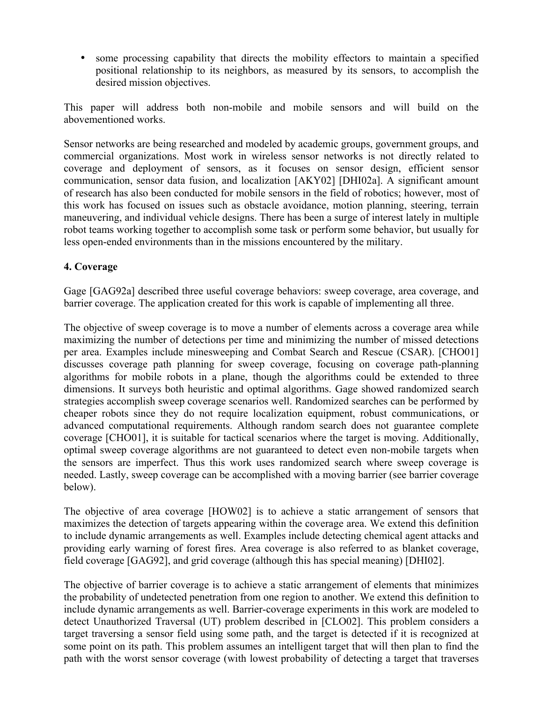• some processing capability that directs the mobility effectors to maintain a specified positional relationship to its neighbors, as measured by its sensors, to accomplish the desired mission objectives.

This paper will address both non-mobile and mobile sensors and will build on the abovementioned works.

Sensor networks are being researched and modeled by academic groups, government groups, and commercial organizations. Most work in wireless sensor networks is not directly related to coverage and deployment of sensors, as it focuses on sensor design, efficient sensor communication, sensor data fusion, and localization [AKY02] [DHI02a]. A significant amount of research has also been conducted for mobile sensors in the field of robotics; however, most of this work has focused on issues such as obstacle avoidance, motion planning, steering, terrain maneuvering, and individual vehicle designs. There has been a surge of interest lately in multiple robot teams working together to accomplish some task or perform some behavior, but usually for less open-ended environments than in the missions encountered by the military.

## **4. Coverage**

Gage [GAG92a] described three useful coverage behaviors: sweep coverage, area coverage, and barrier coverage. The application created for this work is capable of implementing all three.

The objective of sweep coverage is to move a number of elements across a coverage area while maximizing the number of detections per time and minimizing the number of missed detections per area. Examples include minesweeping and Combat Search and Rescue (CSAR). [CHO01] discusses coverage path planning for sweep coverage, focusing on coverage path-planning algorithms for mobile robots in a plane, though the algorithms could be extended to three dimensions. It surveys both heuristic and optimal algorithms. Gage showed randomized search strategies accomplish sweep coverage scenarios well. Randomized searches can be performed by cheaper robots since they do not require localization equipment, robust communications, or advanced computational requirements. Although random search does not guarantee complete coverage [CHO01], it is suitable for tactical scenarios where the target is moving. Additionally, optimal sweep coverage algorithms are not guaranteed to detect even non-mobile targets when the sensors are imperfect. Thus this work uses randomized search where sweep coverage is needed. Lastly, sweep coverage can be accomplished with a moving barrier (see barrier coverage below).

The objective of area coverage [HOW02] is to achieve a static arrangement of sensors that maximizes the detection of targets appearing within the coverage area. We extend this definition to include dynamic arrangements as well. Examples include detecting chemical agent attacks and providing early warning of forest fires. Area coverage is also referred to as blanket coverage, field coverage [GAG92], and grid coverage (although this has special meaning) [DHI02].

The objective of barrier coverage is to achieve a static arrangement of elements that minimizes the probability of undetected penetration from one region to another. We extend this definition to include dynamic arrangements as well. Barrier-coverage experiments in this work are modeled to detect Unauthorized Traversal (UT) problem described in [CLO02]. This problem considers a target traversing a sensor field using some path, and the target is detected if it is recognized at some point on its path. This problem assumes an intelligent target that will then plan to find the path with the worst sensor coverage (with lowest probability of detecting a target that traverses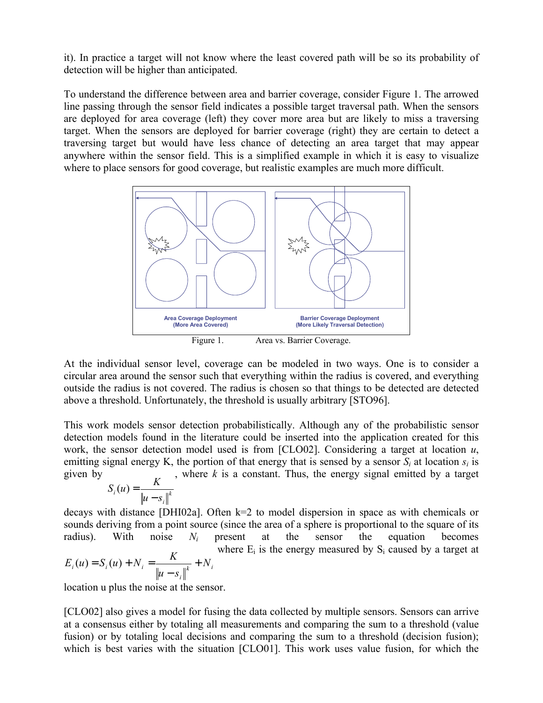it). In practice a target will not know where the least covered path will be so its probability of detection will be higher than anticipated.

To understand the difference between area and barrier coverage, consider Figure 1. The arrowed line passing through the sensor field indicates a possible target traversal path. When the sensors are deployed for area coverage (left) they cover more area but are likely to miss a traversing target. When the sensors are deployed for barrier coverage (right) they are certain to detect a traversing target but would have less chance of detecting an area target that may appear anywhere within the sensor field. This is a simplified example in which it is easy to visualize where to place sensors for good coverage, but realistic examples are much more difficult.



Figure 1. Area vs. Barrier Coverage.

At the individual sensor level, coverage can be modeled in two ways. One is to consider a circular area around the sensor such that everything within the radius is covered, and everything outside the radius is not covered. The radius is chosen so that things to be detected are detected above a threshold. Unfortunately, the threshold is usually arbitrary [STO96].

This work models sensor detection probabilistically. Although any of the probabilistic sensor detection models found in the literature could be inserted into the application created for this work, the sensor detection model used is from [CLO02]. Considering a target at location *u*, emitting signal energy K, the portion of that energy that is sensed by a sensor  $S_i$  at location  $s_i$  is given by , where *k* is a constant. Thus, the energy signal emitted by a target

$$
S_i(u) = \frac{K}{\|u - s_i\|^k}
$$

decays with distance [DHI02a]. Often k=2 to model dispersion in space as with chemicals or sounds deriving from a point source (since the area of a sphere is proportional to the square of its radius). With noise  $N_i$  present at the sensor the equation becomes  $k$ <sup>*i*</sup> *i*<sup>*i*</sup> *i i*  $i_i(u) = S_i(u) + N_i = \frac{K}{\sqrt{m}} + N_i$  $E_i(u) = S_i(u) + N_i = \frac{K}{\|u - s_i\|^k} +$ where  $E_i$  is the energy measured by  $S_i$  caused by a target at

location u plus the noise at the sensor.

[CLO02] also gives a model for fusing the data collected by multiple sensors. Sensors can arrive at a consensus either by totaling all measurements and comparing the sum to a threshold (value fusion) or by totaling local decisions and comparing the sum to a threshold (decision fusion); which is best varies with the situation [CLO01]. This work uses value fusion, for which the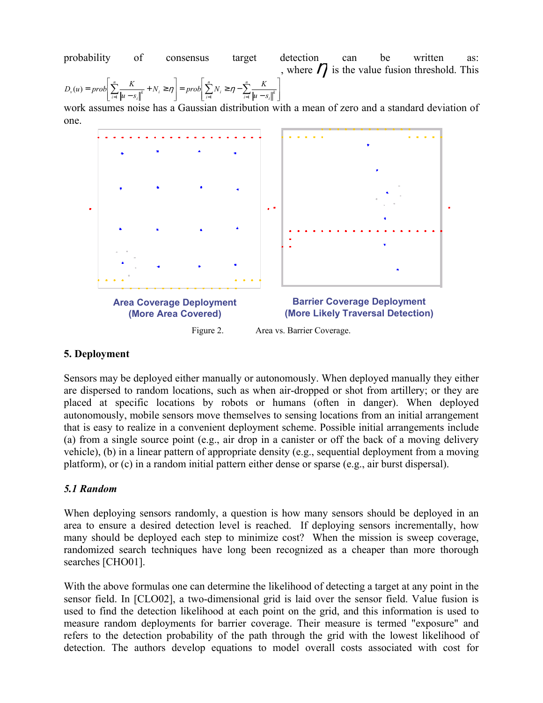probability of consensus target detection can be written as:  $\overline{\phantom{a}}$  $\overline{\phantom{a}}$ J  $\overline{\phantom{a}}$  $\overline{\phantom{a}}$ L  $= prob \frac{\sum_{i=1}^{n} N_i \ge \eta - \sum_{i=1}^{n} \frac{P}{\|u\|}$ J I  $\overline{\phantom{a}}$ L  $= prob \left| \sum_{i=1}^{n} \frac{K}{\|u - s_i\|^k} + N_i \ge \eta \right| = prob \left| \sum_{i=1}^{n} N_i \ge \eta - \sum_{i=1}^{n} \right|$  $\sum_{i=1}^{L} ||u - s_i||^k$ *n*  $\left| \int_{i=1}^{i} P^{(i)} \right| \leq \sum_{i=1}^{i} P_{i}$ *n*  $D_{\nu}(u) = prob \left[ \sum_{i=1}^{n} \frac{K}{\|u - s_i\|^k} + N_i \ge \eta \right] = prob \left[ \sum_{i=1}^{n} N_i \ge \eta - \sum_{i=1}^{n} \frac{K}{\|u - s_i\|^k} \right]$ , where  $\eta$  is the value fusion threshold. This

work assumes noise has a Gaussian distribution with a mean of zero and a standard deviation of one.



# **5. Deployment**

Sensors may be deployed either manually or autonomously. When deployed manually they either are dispersed to random locations, such as when air-dropped or shot from artillery; or they are placed at specific locations by robots or humans (often in danger). When deployed autonomously, mobile sensors move themselves to sensing locations from an initial arrangement that is easy to realize in a convenient deployment scheme. Possible initial arrangements include (a) from a single source point (e.g., air drop in a canister or off the back of a moving delivery vehicle), (b) in a linear pattern of appropriate density (e.g., sequential deployment from a moving platform), or (c) in a random initial pattern either dense or sparse (e.g., air burst dispersal).

## *5.1 Random*

When deploying sensors randomly, a question is how many sensors should be deployed in an area to ensure a desired detection level is reached. If deploying sensors incrementally, how many should be deployed each step to minimize cost? When the mission is sweep coverage, randomized search techniques have long been recognized as a cheaper than more thorough searches [CHO01].

With the above formulas one can determine the likelihood of detecting a target at any point in the sensor field. In [CLO02], a two-dimensional grid is laid over the sensor field. Value fusion is used to find the detection likelihood at each point on the grid, and this information is used to measure random deployments for barrier coverage. Their measure is termed "exposure" and refers to the detection probability of the path through the grid with the lowest likelihood of detection. The authors develop equations to model overall costs associated with cost for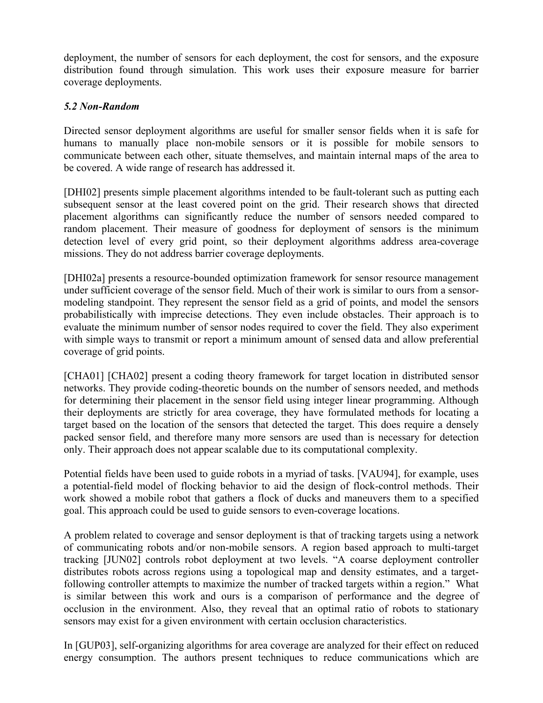deployment, the number of sensors for each deployment, the cost for sensors, and the exposure distribution found through simulation. This work uses their exposure measure for barrier coverage deployments.

## *5.2 Non-Random*

Directed sensor deployment algorithms are useful for smaller sensor fields when it is safe for humans to manually place non-mobile sensors or it is possible for mobile sensors to communicate between each other, situate themselves, and maintain internal maps of the area to be covered. A wide range of research has addressed it.

[DHI02] presents simple placement algorithms intended to be fault-tolerant such as putting each subsequent sensor at the least covered point on the grid. Their research shows that directed placement algorithms can significantly reduce the number of sensors needed compared to random placement. Their measure of goodness for deployment of sensors is the minimum detection level of every grid point, so their deployment algorithms address area-coverage missions. They do not address barrier coverage deployments.

[DHI02a] presents a resource-bounded optimization framework for sensor resource management under sufficient coverage of the sensor field. Much of their work is similar to ours from a sensormodeling standpoint. They represent the sensor field as a grid of points, and model the sensors probabilistically with imprecise detections. They even include obstacles. Their approach is to evaluate the minimum number of sensor nodes required to cover the field. They also experiment with simple ways to transmit or report a minimum amount of sensed data and allow preferential coverage of grid points.

[CHA01] [CHA02] present a coding theory framework for target location in distributed sensor networks. They provide coding-theoretic bounds on the number of sensors needed, and methods for determining their placement in the sensor field using integer linear programming. Although their deployments are strictly for area coverage, they have formulated methods for locating a target based on the location of the sensors that detected the target. This does require a densely packed sensor field, and therefore many more sensors are used than is necessary for detection only. Their approach does not appear scalable due to its computational complexity.

Potential fields have been used to guide robots in a myriad of tasks. [VAU94], for example, uses a potential-field model of flocking behavior to aid the design of flock-control methods. Their work showed a mobile robot that gathers a flock of ducks and maneuvers them to a specified goal. This approach could be used to guide sensors to even-coverage locations.

A problem related to coverage and sensor deployment is that of tracking targets using a network of communicating robots and/or non-mobile sensors. A region based approach to multi-target tracking [JUN02] controls robot deployment at two levels. "A coarse deployment controller distributes robots across regions using a topological map and density estimates, and a targetfollowing controller attempts to maximize the number of tracked targets within a region." What is similar between this work and ours is a comparison of performance and the degree of occlusion in the environment. Also, they reveal that an optimal ratio of robots to stationary sensors may exist for a given environment with certain occlusion characteristics.

In [GUP03], self-organizing algorithms for area coverage are analyzed for their effect on reduced energy consumption. The authors present techniques to reduce communications which are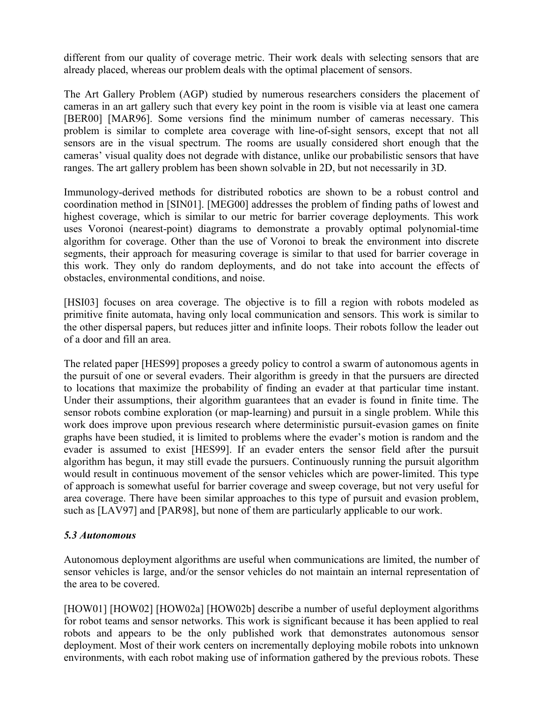different from our quality of coverage metric. Their work deals with selecting sensors that are already placed, whereas our problem deals with the optimal placement of sensors.

The Art Gallery Problem (AGP) studied by numerous researchers considers the placement of cameras in an art gallery such that every key point in the room is visible via at least one camera [BER00] [MAR96]. Some versions find the minimum number of cameras necessary. This problem is similar to complete area coverage with line-of-sight sensors, except that not all sensors are in the visual spectrum. The rooms are usually considered short enough that the cameras' visual quality does not degrade with distance, unlike our probabilistic sensors that have ranges. The art gallery problem has been shown solvable in 2D, but not necessarily in 3D.

Immunology-derived methods for distributed robotics are shown to be a robust control and coordination method in [SIN01]. [MEG00] addresses the problem of finding paths of lowest and highest coverage, which is similar to our metric for barrier coverage deployments. This work uses Voronoi (nearest-point) diagrams to demonstrate a provably optimal polynomial-time algorithm for coverage. Other than the use of Voronoi to break the environment into discrete segments, their approach for measuring coverage is similar to that used for barrier coverage in this work. They only do random deployments, and do not take into account the effects of obstacles, environmental conditions, and noise.

[HSI03] focuses on area coverage. The objective is to fill a region with robots modeled as primitive finite automata, having only local communication and sensors. This work is similar to the other dispersal papers, but reduces jitter and infinite loops. Their robots follow the leader out of a door and fill an area.

The related paper [HES99] proposes a greedy policy to control a swarm of autonomous agents in the pursuit of one or several evaders. Their algorithm is greedy in that the pursuers are directed to locations that maximize the probability of finding an evader at that particular time instant. Under their assumptions, their algorithm guarantees that an evader is found in finite time. The sensor robots combine exploration (or map-learning) and pursuit in a single problem. While this work does improve upon previous research where deterministic pursuit-evasion games on finite graphs have been studied, it is limited to problems where the evader's motion is random and the evader is assumed to exist [HES99]. If an evader enters the sensor field after the pursuit algorithm has begun, it may still evade the pursuers. Continuously running the pursuit algorithm would result in continuous movement of the sensor vehicles which are power-limited. This type of approach is somewhat useful for barrier coverage and sweep coverage, but not very useful for area coverage. There have been similar approaches to this type of pursuit and evasion problem, such as [LAV97] and [PAR98], but none of them are particularly applicable to our work.

## *5.3 Autonomous*

Autonomous deployment algorithms are useful when communications are limited, the number of sensor vehicles is large, and/or the sensor vehicles do not maintain an internal representation of the area to be covered.

[HOW01] [HOW02] [HOW02a] [HOW02b] describe a number of useful deployment algorithms for robot teams and sensor networks. This work is significant because it has been applied to real robots and appears to be the only published work that demonstrates autonomous sensor deployment. Most of their work centers on incrementally deploying mobile robots into unknown environments, with each robot making use of information gathered by the previous robots. These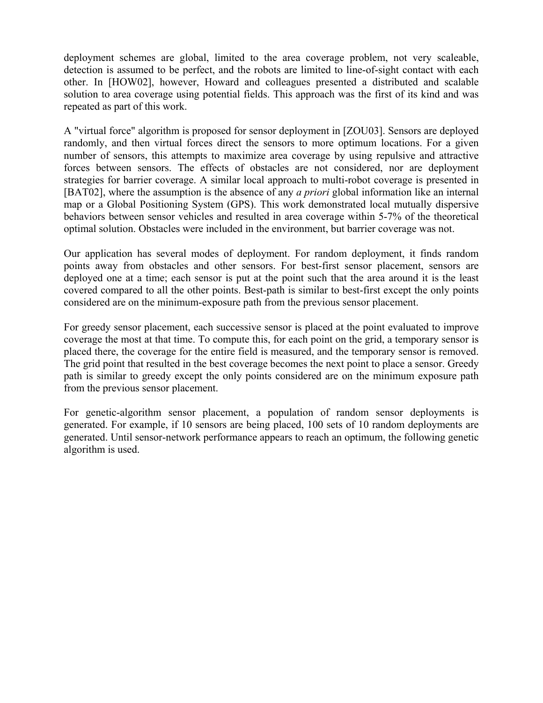deployment schemes are global, limited to the area coverage problem, not very scaleable, detection is assumed to be perfect, and the robots are limited to line-of-sight contact with each other. In [HOW02], however, Howard and colleagues presented a distributed and scalable solution to area coverage using potential fields. This approach was the first of its kind and was repeated as part of this work.

A "virtual force" algorithm is proposed for sensor deployment in [ZOU03]. Sensors are deployed randomly, and then virtual forces direct the sensors to more optimum locations. For a given number of sensors, this attempts to maximize area coverage by using repulsive and attractive forces between sensors. The effects of obstacles are not considered, nor are deployment strategies for barrier coverage. A similar local approach to multi-robot coverage is presented in [BAT02], where the assumption is the absence of any *a priori* global information like an internal map or a Global Positioning System (GPS). This work demonstrated local mutually dispersive behaviors between sensor vehicles and resulted in area coverage within 5-7% of the theoretical optimal solution. Obstacles were included in the environment, but barrier coverage was not.

Our application has several modes of deployment. For random deployment, it finds random points away from obstacles and other sensors. For best-first sensor placement, sensors are deployed one at a time; each sensor is put at the point such that the area around it is the least covered compared to all the other points. Best-path is similar to best-first except the only points considered are on the minimum-exposure path from the previous sensor placement.

For greedy sensor placement, each successive sensor is placed at the point evaluated to improve coverage the most at that time. To compute this, for each point on the grid, a temporary sensor is placed there, the coverage for the entire field is measured, and the temporary sensor is removed. The grid point that resulted in the best coverage becomes the next point to place a sensor. Greedy path is similar to greedy except the only points considered are on the minimum exposure path from the previous sensor placement.

For genetic-algorithm sensor placement, a population of random sensor deployments is generated. For example, if 10 sensors are being placed, 100 sets of 10 random deployments are generated. Until sensor-network performance appears to reach an optimum, the following genetic algorithm is used.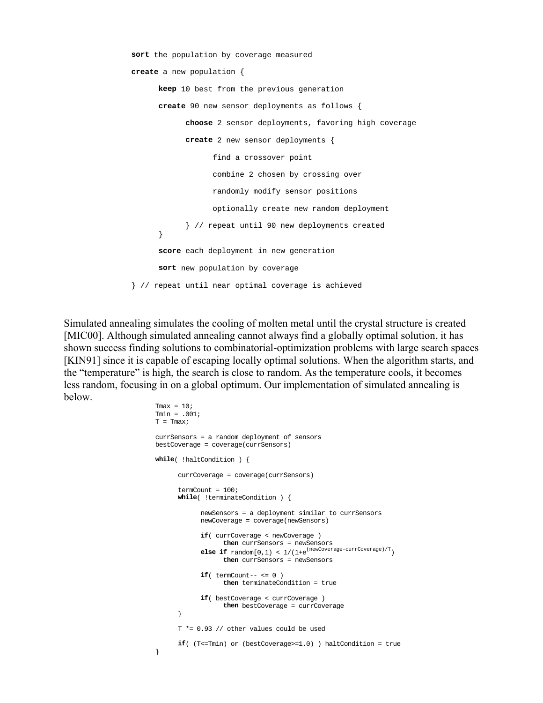```
sort the population by coverage measured 
create a new population { 
      keep 10 best from the previous generation 
      create 90 new sensor deployments as follows { 
             choose 2 sensor deployments, favoring high coverage 
             create 2 new sensor deployments { 
                   find a crossover point 
                   combine 2 chosen by crossing over 
                   randomly modify sensor positions 
                   optionally create new random deployment 
             } // repeat until 90 new deployments created 
      } 
      score each deployment in new generation 
      sort new population by coverage 
} // repeat until near optimal coverage is achieved
```
Simulated annealing simulates the cooling of molten metal until the crystal structure is created [MIC00]. Although simulated annealing cannot always find a globally optimal solution, it has shown success finding solutions to combinatorial-optimization problems with large search spaces [KIN91] since it is capable of escaping locally optimal solutions. When the algorithm starts, and the "temperature" is high, the search is close to random. As the temperature cools, it becomes less random, focusing in on a global optimum. Our implementation of simulated annealing is below.

```
Tmax = 10;
Tmin = .001; 
T = Tmax;currSensors = a random deployment of sensors 
bestCoverage = coverage(currSensors) 
while( !haltCondition ) { 
      currCoverage = coverage(currSensors) 
      termCount = 100; 
      while( !terminateCondition ) { 
             newSensors = a deployment similar to currSensors 
             newCoverage = coverage(newSensors) 
             if( currCoverage < newCoverage ) 
                    then currSensors = newSensors 
             else if \text{random}[0,1) < 1/(1+e^{(\text{newCoverage-currCoverage})/T}) then currSensors = newSensors
            if(\ttermCount--<-0)then terminateCondition = true 
             if( bestCoverage < currCoverage ) 
                   then bestCoverage = currCoverage 
 } 
       T *= 0.93 // other values could be used 
      if( (T<=Tmin) or (bestCoverage>=1.0) ) haltCondition = true 
}
```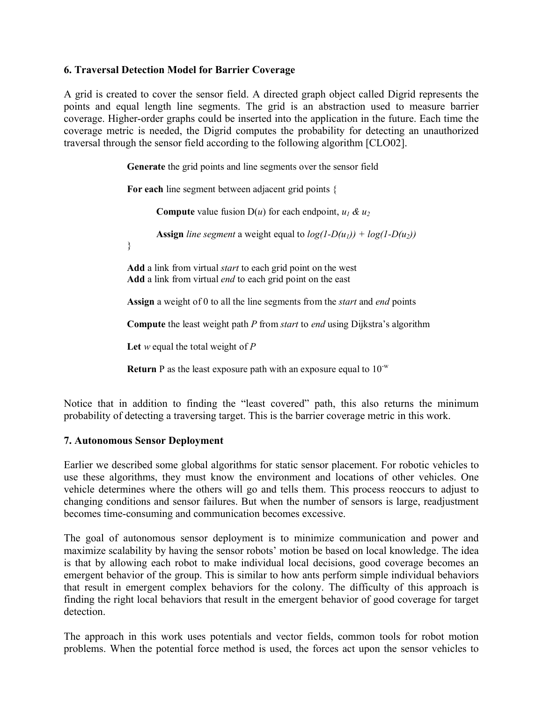### **6. Traversal Detection Model for Barrier Coverage**

A grid is created to cover the sensor field. A directed graph object called Digrid represents the points and equal length line segments. The grid is an abstraction used to measure barrier coverage. Higher-order graphs could be inserted into the application in the future. Each time the coverage metric is needed, the Digrid computes the probability for detecting an unauthorized traversal through the sensor field according to the following algorithm [CLO02].

**Generate** the grid points and line segments over the sensor field

**For each** line segment between adjacent grid points {

**Compute** value fusion  $D(u)$  for each endpoint,  $u_1 \& u_2$ 

**Assign** *line segment* a weight equal to  $log(1-D(u_1)) + log(1-D(u_2))$ 

}

**Add** a link from virtual *start* to each grid point on the west **Add** a link from virtual *end* to each grid point on the east

**Assign** a weight of 0 to all the line segments from the *start* and *end* points

**Compute** the least weight path *P* from *start* to *end* using Dijkstra's algorithm

**Let** *w* equal the total weight of *P*

**Return** P as the least exposure path with an exposure equal to  $10^{-w}$ 

Notice that in addition to finding the "least covered" path, this also returns the minimum probability of detecting a traversing target. This is the barrier coverage metric in this work.

#### **7. Autonomous Sensor Deployment**

Earlier we described some global algorithms for static sensor placement. For robotic vehicles to use these algorithms, they must know the environment and locations of other vehicles. One vehicle determines where the others will go and tells them. This process reoccurs to adjust to changing conditions and sensor failures. But when the number of sensors is large, readjustment becomes time-consuming and communication becomes excessive.

The goal of autonomous sensor deployment is to minimize communication and power and maximize scalability by having the sensor robots' motion be based on local knowledge. The idea is that by allowing each robot to make individual local decisions, good coverage becomes an emergent behavior of the group. This is similar to how ants perform simple individual behaviors that result in emergent complex behaviors for the colony. The difficulty of this approach is finding the right local behaviors that result in the emergent behavior of good coverage for target detection.

The approach in this work uses potentials and vector fields, common tools for robot motion problems. When the potential force method is used, the forces act upon the sensor vehicles to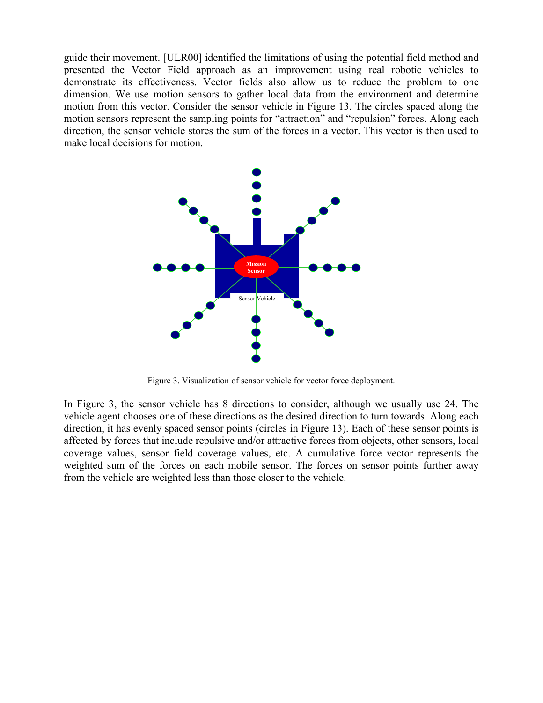guide their movement. [ULR00] identified the limitations of using the potential field method and presented the Vector Field approach as an improvement using real robotic vehicles to demonstrate its effectiveness. Vector fields also allow us to reduce the problem to one dimension. We use motion sensors to gather local data from the environment and determine motion from this vector. Consider the sensor vehicle in Figure 13. The circles spaced along the motion sensors represent the sampling points for "attraction" and "repulsion" forces. Along each direction, the sensor vehicle stores the sum of the forces in a vector. This vector is then used to make local decisions for motion.



Figure 3. Visualization of sensor vehicle for vector force deployment.

In Figure 3, the sensor vehicle has 8 directions to consider, although we usually use 24. The vehicle agent chooses one of these directions as the desired direction to turn towards. Along each direction, it has evenly spaced sensor points (circles in Figure 13). Each of these sensor points is affected by forces that include repulsive and/or attractive forces from objects, other sensors, local coverage values, sensor field coverage values, etc. A cumulative force vector represents the weighted sum of the forces on each mobile sensor. The forces on sensor points further away from the vehicle are weighted less than those closer to the vehicle.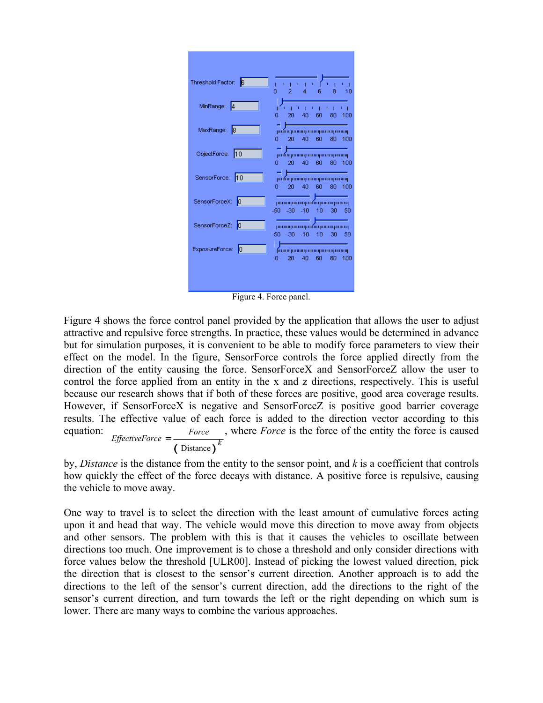

Figure 4. Force panel.

Figure 4 shows the force control panel provided by the application that allows the user to adjust attractive and repulsive force strengths. In practice, these values would be determined in advance but for simulation purposes, it is convenient to be able to modify force parameters to view their effect on the model. In the figure, SensorForce controls the force applied directly from the direction of the entity causing the force. SensorForceX and SensorForceZ allow the user to control the force applied from an entity in the x and z directions, respectively. This is useful because our research shows that if both of these forces are positive, good area coverage results. However, if SensorForceX is negative and SensorForceZ is positive good barrier coverage results. The effective value of each force is added to the direction vector according to this equation:  $\overline{(\text{Distance})}^k$ *Force EffectiveForce* , where *Force* is the force of the entity the force is caused

by, *Distance* is the distance from the entity to the sensor point, and *k* is a coefficient that controls how quickly the effect of the force decays with distance. A positive force is repulsive, causing the vehicle to move away.

One way to travel is to select the direction with the least amount of cumulative forces acting upon it and head that way. The vehicle would move this direction to move away from objects and other sensors. The problem with this is that it causes the vehicles to oscillate between directions too much. One improvement is to chose a threshold and only consider directions with force values below the threshold [ULR00]. Instead of picking the lowest valued direction, pick the direction that is closest to the sensor's current direction. Another approach is to add the directions to the left of the sensor's current direction, add the directions to the right of the sensor's current direction, and turn towards the left or the right depending on which sum is lower. There are many ways to combine the various approaches.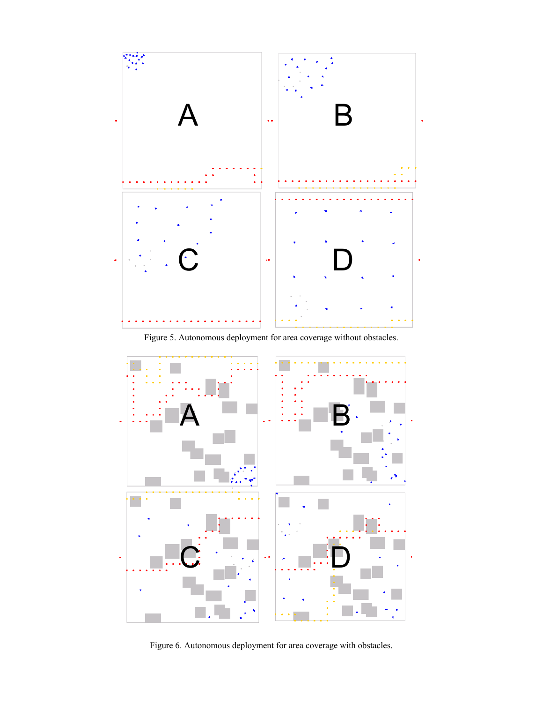

Figure 5. Autonomous deployment for area coverage without obstacles.



Figure 6. Autonomous deployment for area coverage with obstacles.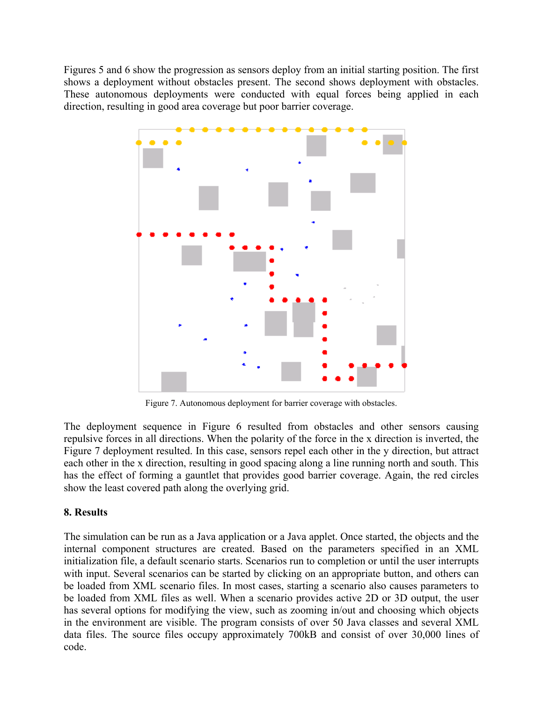Figures 5 and 6 show the progression as sensors deploy from an initial starting position. The first shows a deployment without obstacles present. The second shows deployment with obstacles. These autonomous deployments were conducted with equal forces being applied in each direction, resulting in good area coverage but poor barrier coverage.



Figure 7. Autonomous deployment for barrier coverage with obstacles.

The deployment sequence in Figure 6 resulted from obstacles and other sensors causing repulsive forces in all directions. When the polarity of the force in the x direction is inverted, the Figure 7 deployment resulted. In this case, sensors repel each other in the y direction, but attract each other in the x direction, resulting in good spacing along a line running north and south. This has the effect of forming a gauntlet that provides good barrier coverage. Again, the red circles show the least covered path along the overlying grid.

# **8. Results**

The simulation can be run as a Java application or a Java applet. Once started, the objects and the internal component structures are created. Based on the parameters specified in an XML initialization file, a default scenario starts. Scenarios run to completion or until the user interrupts with input. Several scenarios can be started by clicking on an appropriate button, and others can be loaded from XML scenario files. In most cases, starting a scenario also causes parameters to be loaded from XML files as well. When a scenario provides active 2D or 3D output, the user has several options for modifying the view, such as zooming in/out and choosing which objects in the environment are visible. The program consists of over 50 Java classes and several XML data files. The source files occupy approximately 700kB and consist of over 30,000 lines of code.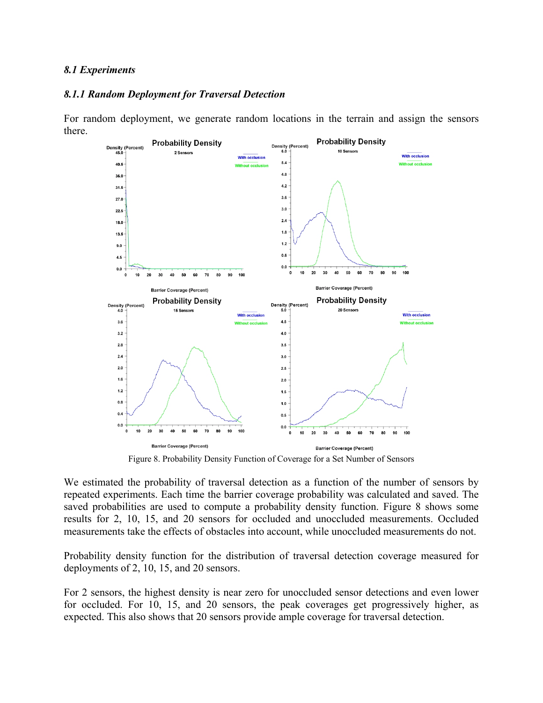#### *8.1 Experiments*

#### *8.1.1 Random Deployment for Traversal Detection*

For random deployment, we generate random locations in the terrain and assign the sensors there.



Figure 8. Probability Density Function of Coverage for a Set Number of Sensors

We estimated the probability of traversal detection as a function of the number of sensors by repeated experiments. Each time the barrier coverage probability was calculated and saved. The saved probabilities are used to compute a probability density function. Figure 8 shows some results for 2, 10, 15, and 20 sensors for occluded and unoccluded measurements. Occluded measurements take the effects of obstacles into account, while unoccluded measurements do not.

Probability density function for the distribution of traversal detection coverage measured for deployments of 2, 10, 15, and 20 sensors.

For 2 sensors, the highest density is near zero for unoccluded sensor detections and even lower for occluded. For 10, 15, and 20 sensors, the peak coverages get progressively higher, as expected. This also shows that 20 sensors provide ample coverage for traversal detection.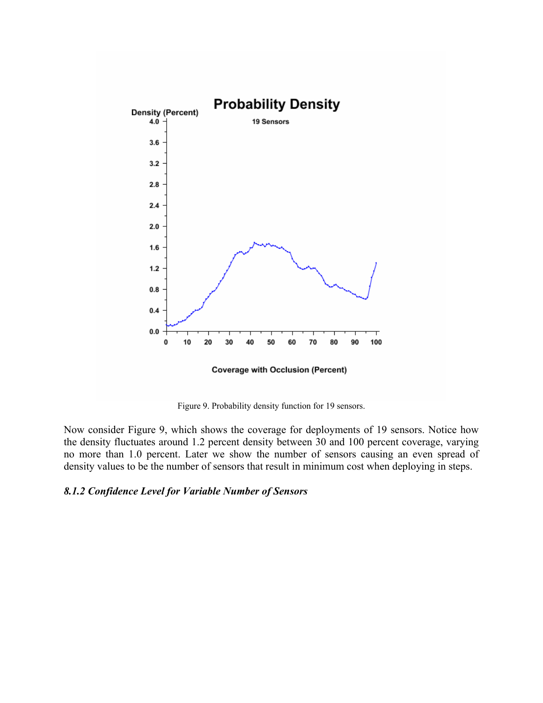

**Coverage with Occlusion (Percent)** 

Figure 9. Probability density function for 19 sensors.

Now consider Figure 9, which shows the coverage for deployments of 19 sensors. Notice how the density fluctuates around 1.2 percent density between 30 and 100 percent coverage, varying no more than 1.0 percent. Later we show the number of sensors causing an even spread of density values to be the number of sensors that result in minimum cost when deploying in steps.

#### *8.1.2 Confidence Level for Variable Number of Sensors*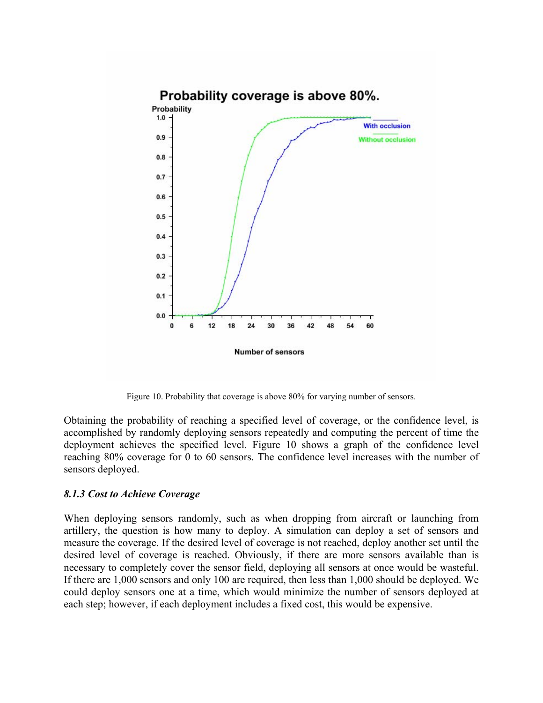

Figure 10. Probability that coverage is above 80% for varying number of sensors.

Obtaining the probability of reaching a specified level of coverage, or the confidence level, is accomplished by randomly deploying sensors repeatedly and computing the percent of time the deployment achieves the specified level. Figure 10 shows a graph of the confidence level reaching 80% coverage for 0 to 60 sensors. The confidence level increases with the number of sensors deployed.

#### *8.1.3 Cost to Achieve Coverage*

When deploying sensors randomly, such as when dropping from aircraft or launching from artillery, the question is how many to deploy. A simulation can deploy a set of sensors and measure the coverage. If the desired level of coverage is not reached, deploy another set until the desired level of coverage is reached. Obviously, if there are more sensors available than is necessary to completely cover the sensor field, deploying all sensors at once would be wasteful. If there are 1,000 sensors and only 100 are required, then less than 1,000 should be deployed. We could deploy sensors one at a time, which would minimize the number of sensors deployed at each step; however, if each deployment includes a fixed cost, this would be expensive.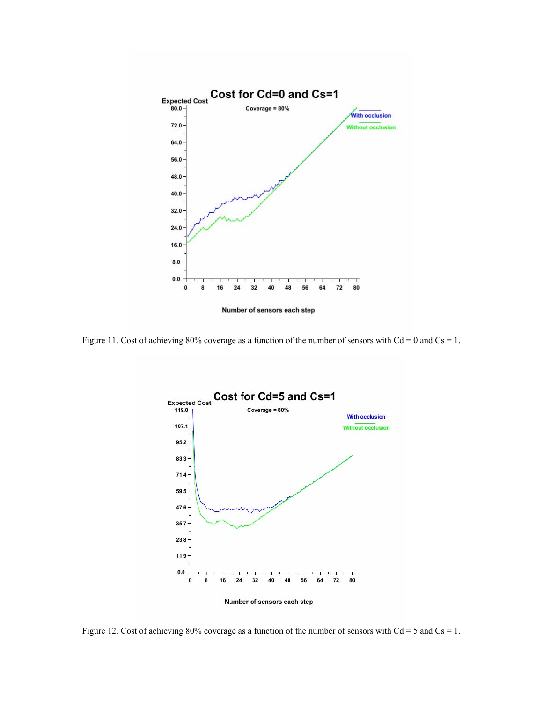

Figure 11. Cost of achieving 80% coverage as a function of the number of sensors with  $Cd = 0$  and  $Cs = 1$ .



Figure 12. Cost of achieving 80% coverage as a function of the number of sensors with  $Cd = 5$  and  $Cs = 1$ .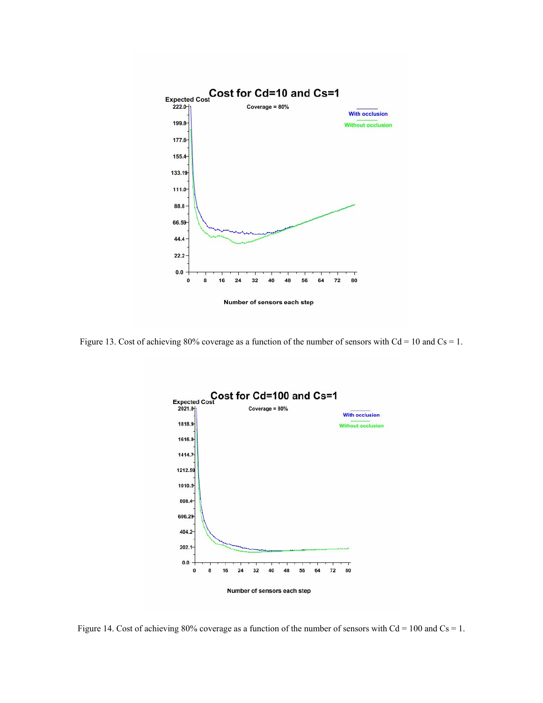

Figure 13. Cost of achieving 80% coverage as a function of the number of sensors with  $Cd = 10$  and  $Cs = 1$ .



Figure 14. Cost of achieving 80% coverage as a function of the number of sensors with  $Cd = 100$  and  $Cs = 1$ .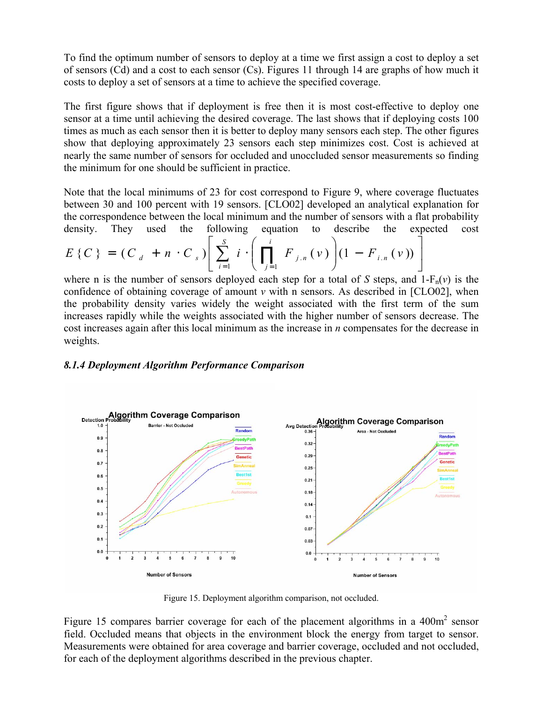To find the optimum number of sensors to deploy at a time we first assign a cost to deploy a set of sensors (Cd) and a cost to each sensor (Cs). Figures 11 through 14 are graphs of how much it costs to deploy a set of sensors at a time to achieve the specified coverage.

The first figure shows that if deployment is free then it is most cost-effective to deploy one sensor at a time until achieving the desired coverage. The last shows that if deploying costs 100 times as much as each sensor then it is better to deploy many sensors each step. The other figures show that deploying approximately 23 sensors each step minimizes cost. Cost is achieved at nearly the same number of sensors for occluded and unoccluded sensor measurements so finding the minimum for one should be sufficient in practice.

Note that the local minimums of 23 for cost correspond to Figure 9, where coverage fluctuates between 30 and 100 percent with 19 sensors. [CLO02] developed an analytical explanation for the correspondence between the local minimum and the number of sensors with a flat probability density. They used the following equation to describe the expected cost

$$
E\left\{C\right\} = \left(C_{d} + n \cdot C_{s}\right) \left[ \sum_{i=1}^{S} i \cdot \left(\prod_{j=1}^{i} F_{j,n}(\nu)\right) (1 - F_{i,n}(\nu)) \right]
$$

where n is the number of sensors deployed each step for a total of *S* steps, and 1- $F_n(v)$  is the confidence of obtaining coverage of amount *v* with n sensors. As described in [CLO02], when the probability density varies widely the weight associated with the first term of the sum increases rapidly while the weights associated with the higher number of sensors decrease. The cost increases again after this local minimum as the increase in *n* compensates for the decrease in weights.

#### *8.1.4 Deployment Algorithm Performance Comparison*



Figure 15. Deployment algorithm comparison, not occluded.

Figure 15 compares barrier coverage for each of the placement algorithms in a  $400m<sup>2</sup>$  sensor field. Occluded means that objects in the environment block the energy from target to sensor. Measurements were obtained for area coverage and barrier coverage, occluded and not occluded, for each of the deployment algorithms described in the previous chapter.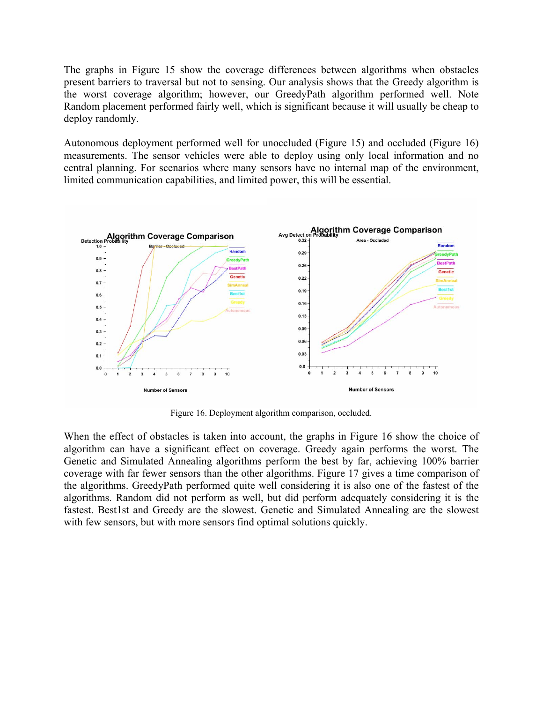The graphs in Figure 15 show the coverage differences between algorithms when obstacles present barriers to traversal but not to sensing. Our analysis shows that the Greedy algorithm is the worst coverage algorithm; however, our GreedyPath algorithm performed well. Note Random placement performed fairly well, which is significant because it will usually be cheap to deploy randomly.

Autonomous deployment performed well for unoccluded (Figure 15) and occluded (Figure 16) measurements. The sensor vehicles were able to deploy using only local information and no central planning. For scenarios where many sensors have no internal map of the environment, limited communication capabilities, and limited power, this will be essential.



Figure 16. Deployment algorithm comparison, occluded.

When the effect of obstacles is taken into account, the graphs in Figure 16 show the choice of algorithm can have a significant effect on coverage. Greedy again performs the worst. The Genetic and Simulated Annealing algorithms perform the best by far, achieving 100% barrier coverage with far fewer sensors than the other algorithms. Figure 17 gives a time comparison of the algorithms. GreedyPath performed quite well considering it is also one of the fastest of the algorithms. Random did not perform as well, but did perform adequately considering it is the fastest. Best1st and Greedy are the slowest. Genetic and Simulated Annealing are the slowest with few sensors, but with more sensors find optimal solutions quickly.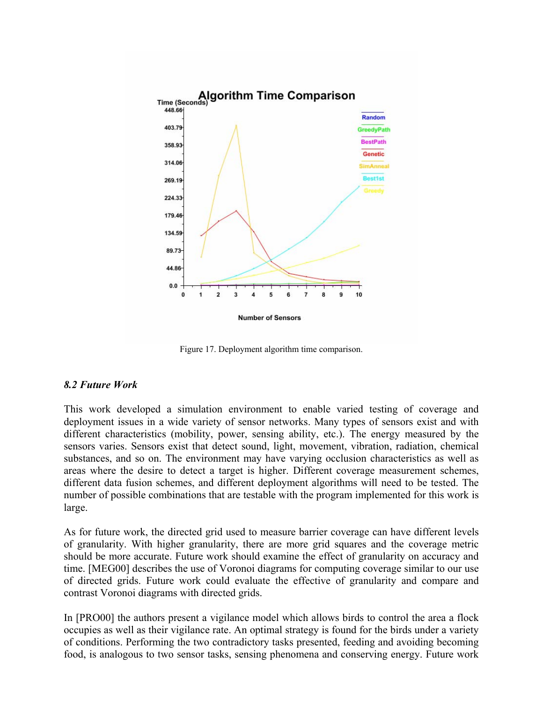

Figure 17. Deployment algorithm time comparison.

#### *8.2 Future Work*

This work developed a simulation environment to enable varied testing of coverage and deployment issues in a wide variety of sensor networks. Many types of sensors exist and with different characteristics (mobility, power, sensing ability, etc.). The energy measured by the sensors varies. Sensors exist that detect sound, light, movement, vibration, radiation, chemical substances, and so on. The environment may have varying occlusion characteristics as well as areas where the desire to detect a target is higher. Different coverage measurement schemes, different data fusion schemes, and different deployment algorithms will need to be tested. The number of possible combinations that are testable with the program implemented for this work is large.

As for future work, the directed grid used to measure barrier coverage can have different levels of granularity. With higher granularity, there are more grid squares and the coverage metric should be more accurate. Future work should examine the effect of granularity on accuracy and time. [MEG00] describes the use of Voronoi diagrams for computing coverage similar to our use of directed grids. Future work could evaluate the effective of granularity and compare and contrast Voronoi diagrams with directed grids.

In [PRO00] the authors present a vigilance model which allows birds to control the area a flock occupies as well as their vigilance rate. An optimal strategy is found for the birds under a variety of conditions. Performing the two contradictory tasks presented, feeding and avoiding becoming food, is analogous to two sensor tasks, sensing phenomena and conserving energy. Future work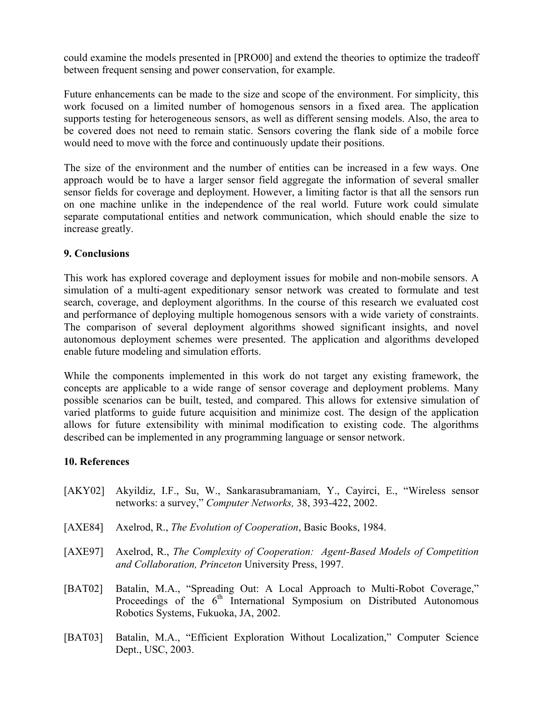could examine the models presented in [PRO00] and extend the theories to optimize the tradeoff between frequent sensing and power conservation, for example.

Future enhancements can be made to the size and scope of the environment. For simplicity, this work focused on a limited number of homogenous sensors in a fixed area. The application supports testing for heterogeneous sensors, as well as different sensing models. Also, the area to be covered does not need to remain static. Sensors covering the flank side of a mobile force would need to move with the force and continuously update their positions.

The size of the environment and the number of entities can be increased in a few ways. One approach would be to have a larger sensor field aggregate the information of several smaller sensor fields for coverage and deployment. However, a limiting factor is that all the sensors run on one machine unlike in the independence of the real world. Future work could simulate separate computational entities and network communication, which should enable the size to increase greatly.

### **9. Conclusions**

This work has explored coverage and deployment issues for mobile and non-mobile sensors. A simulation of a multi-agent expeditionary sensor network was created to formulate and test search, coverage, and deployment algorithms. In the course of this research we evaluated cost and performance of deploying multiple homogenous sensors with a wide variety of constraints. The comparison of several deployment algorithms showed significant insights, and novel autonomous deployment schemes were presented. The application and algorithms developed enable future modeling and simulation efforts.

While the components implemented in this work do not target any existing framework, the concepts are applicable to a wide range of sensor coverage and deployment problems. Many possible scenarios can be built, tested, and compared. This allows for extensive simulation of varied platforms to guide future acquisition and minimize cost. The design of the application allows for future extensibility with minimal modification to existing code. The algorithms described can be implemented in any programming language or sensor network.

## **10. References**

- [AKY02] Akyildiz, I.F., Su, W., Sankarasubramaniam, Y., Cayirci, E., "Wireless sensor networks: a survey," *Computer Networks,* 38, 393-422, 2002.
- [AXE84] Axelrod, R., *The Evolution of Cooperation*, Basic Books, 1984.
- [AXE97] Axelrod, R., *The Complexity of Cooperation: Agent-Based Models of Competition and Collaboration, Princeton* University Press, 1997.
- [BAT02] Batalin, M.A., "Spreading Out: A Local Approach to Multi-Robot Coverage," Proceedings of the 6<sup>th</sup> International Symposium on Distributed Autonomous Robotics Systems, Fukuoka, JA, 2002.
- [BAT03] Batalin, M.A., "Efficient Exploration Without Localization," Computer Science Dept., USC, 2003.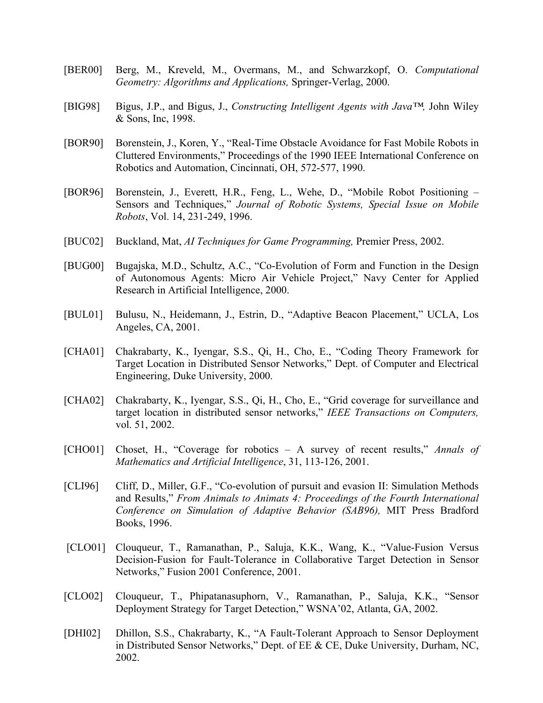- [BER00] Berg, M., Kreveld, M., Overmans, M., and Schwarzkopf, O. *Computational Geometry: Algorithms and Applications,* Springer-Verlag, 2000.
- [BIG98] Bigus, J.P., and Bigus, J., *Constructing Intelligent Agents with Java™,* John Wiley & Sons, Inc, 1998.
- [BOR90] Borenstein, J., Koren, Y., "Real-Time Obstacle Avoidance for Fast Mobile Robots in Cluttered Environments," Proceedings of the 1990 IEEE International Conference on Robotics and Automation, Cincinnati, OH, 572-577, 1990.
- [BOR96] Borenstein, J., Everett, H.R., Feng, L., Wehe, D., "Mobile Robot Positioning Sensors and Techniques," *Journal of Robotic Systems, Special Issue on Mobile Robots*, Vol. 14, 231-249, 1996.
- [BUC02] Buckland, Mat, *AI Techniques for Game Programming,* Premier Press, 2002.
- [BUG00] Bugajska, M.D., Schultz, A.C., "Co-Evolution of Form and Function in the Design of Autonomous Agents: Micro Air Vehicle Project," Navy Center for Applied Research in Artificial Intelligence, 2000.
- [BUL01] Bulusu, N., Heidemann, J., Estrin, D., "Adaptive Beacon Placement," UCLA, Los Angeles, CA, 2001.
- [CHA01] Chakrabarty, K., Iyengar, S.S., Qi, H., Cho, E., "Coding Theory Framework for Target Location in Distributed Sensor Networks," Dept. of Computer and Electrical Engineering, Duke University, 2000.
- [CHA02] Chakrabarty, K., Iyengar, S.S., Qi, H., Cho, E., "Grid coverage for surveillance and target location in distributed sensor networks," *IEEE Transactions on Computers,*  vol. 51, 2002.
- [CHO01] Choset, H., "Coverage for robotics A survey of recent results," *Annals of Mathematics and Artificial Intelligence*, 31, 113-126, 2001.
- [CLI96] Cliff, D., Miller, G.F., "Co-evolution of pursuit and evasion II: Simulation Methods and Results," *From Animals to Animats 4: Proceedings of the Fourth International Conference on Simulation of Adaptive Behavior (SAB96),* MIT Press Bradford Books, 1996.
- [CLO01] Clouqueur, T., Ramanathan, P., Saluja, K.K., Wang, K., "Value-Fusion Versus Decision-Fusion for Fault-Tolerance in Collaborative Target Detection in Sensor Networks," Fusion 2001 Conference, 2001.
- [CLO02] Clouqueur, T., Phipatanasuphorn, V., Ramanathan, P., Saluja, K.K., "Sensor Deployment Strategy for Target Detection," WSNA'02, Atlanta, GA, 2002.
- [DHI02] Dhillon, S.S., Chakrabarty, K., "A Fault-Tolerant Approach to Sensor Deployment in Distributed Sensor Networks," Dept. of EE & CE, Duke University, Durham, NC, 2002.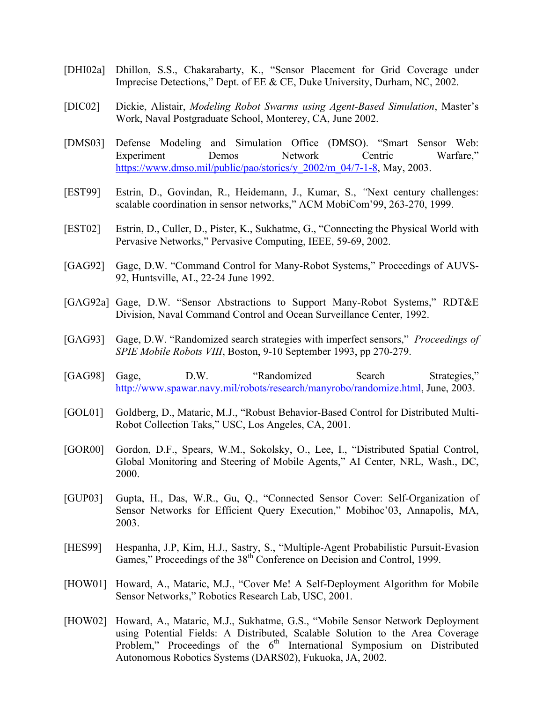- [DHI02a] Dhillon, S.S., Chakarabarty, K., "Sensor Placement for Grid Coverage under Imprecise Detections," Dept. of EE & CE, Duke University, Durham, NC, 2002.
- [DIC02] Dickie, Alistair, *Modeling Robot Swarms using Agent-Based Simulation*, Master's Work, Naval Postgraduate School, Monterey, CA, June 2002.
- [DMS03] Defense Modeling and Simulation Office (DMSO). "Smart Sensor Web: Experiment Demos Network Centric Warfare," https://www.dmso.mil/public/pao/stories/y\_2002/m\_04/7-1-8, May, 2003.
- [EST99] Estrin, D., Govindan, R., Heidemann, J., Kumar, S., *"*Next century challenges: scalable coordination in sensor networks," ACM MobiCom'99, 263-270, 1999.
- [EST02] Estrin, D., Culler, D., Pister, K., Sukhatme, G., "Connecting the Physical World with Pervasive Networks," Pervasive Computing, IEEE, 59-69, 2002.
- [GAG92] Gage, D.W. "Command Control for Many-Robot Systems," Proceedings of AUVS-92, Huntsville, AL, 22-24 June 1992.
- [GAG92a] Gage, D.W. "Sensor Abstractions to Support Many-Robot Systems," RDT&E Division, Naval Command Control and Ocean Surveillance Center, 1992.
- [GAG93] Gage, D.W. "Randomized search strategies with imperfect sensors," *Proceedings of SPIE Mobile Robots VIII*, Boston, 9-10 September 1993, pp 270-279.
- [GAG98] Gage, D.W. "Randomized Search Strategies," http://www.spawar.navy.mil/robots/research/manyrobo/randomize.html, June, 2003.
- [GOL01] Goldberg, D., Mataric, M.J., "Robust Behavior-Based Control for Distributed Multi-Robot Collection Taks," USC, Los Angeles, CA, 2001.
- [GOR00] Gordon, D.F., Spears, W.M., Sokolsky, O., Lee, I., "Distributed Spatial Control, Global Monitoring and Steering of Mobile Agents," AI Center, NRL, Wash., DC, 2000.
- [GUP03] Gupta, H., Das, W.R., Gu, Q., "Connected Sensor Cover: Self-Organization of Sensor Networks for Efficient Query Execution," Mobihoc'03, Annapolis, MA, 2003.
- [HES99] Hespanha, J.P, Kim, H.J., Sastry, S., "Multiple-Agent Probabilistic Pursuit-Evasion Games," Proceedings of the 38<sup>th</sup> Conference on Decision and Control, 1999.
- [HOW01] Howard, A., Mataric, M.J., "Cover Me! A Self-Deployment Algorithm for Mobile Sensor Networks," Robotics Research Lab, USC, 2001.
- [HOW02] Howard, A., Mataric, M.J., Sukhatme, G.S., "Mobile Sensor Network Deployment using Potential Fields: A Distributed, Scalable Solution to the Area Coverage Problem," Proceedings of the  $6<sup>th</sup>$  International Symposium on Distributed Autonomous Robotics Systems (DARS02), Fukuoka, JA, 2002.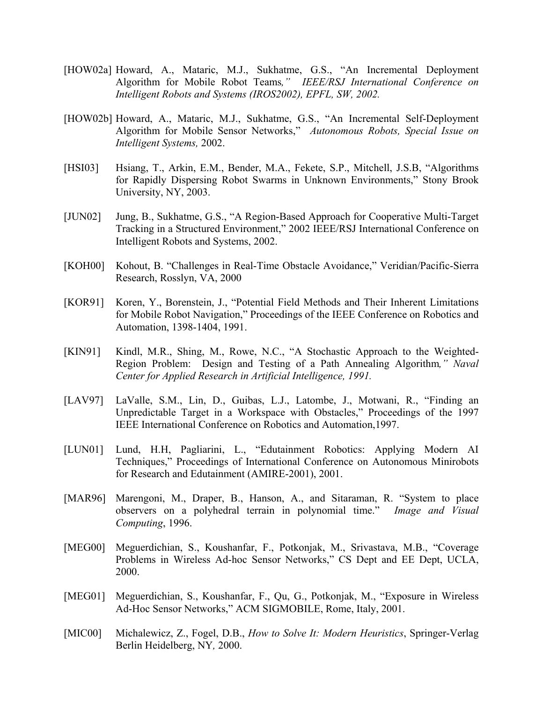- [HOW02a] Howard, A., Mataric, M.J., Sukhatme, G.S., "An Incremental Deployment Algorithm for Mobile Robot Teams*," IEEE/RSJ International Conference on Intelligent Robots and Systems (IROS2002), EPFL, SW, 2002.*
- [HOW02b] Howard, A., Mataric, M.J., Sukhatme, G.S., "An Incremental Self-Deployment Algorithm for Mobile Sensor Networks," *Autonomous Robots, Special Issue on Intelligent Systems,* 2002.
- [HSI03] Hsiang, T., Arkin, E.M., Bender, M.A., Fekete, S.P., Mitchell, J.S.B, "Algorithms for Rapidly Dispersing Robot Swarms in Unknown Environments," Stony Brook University, NY, 2003.
- [JUN02] Jung, B., Sukhatme, G.S., "A Region-Based Approach for Cooperative Multi-Target Tracking in a Structured Environment," 2002 IEEE/RSJ International Conference on Intelligent Robots and Systems, 2002.
- [KOH00] Kohout, B. "Challenges in Real-Time Obstacle Avoidance," Veridian/Pacific-Sierra Research, Rosslyn, VA, 2000
- [KOR91] Koren, Y., Borenstein, J., "Potential Field Methods and Their Inherent Limitations for Mobile Robot Navigation," Proceedings of the IEEE Conference on Robotics and Automation, 1398-1404, 1991.
- [KIN91] Kindl, M.R., Shing, M., Rowe, N.C., "A Stochastic Approach to the Weighted-Region Problem: Design and Testing of a Path Annealing Algorithm*," Naval Center for Applied Research in Artificial Intelligence, 1991.*
- [LAV97] LaValle, S.M., Lin, D., Guibas, L.J., Latombe, J., Motwani, R., "Finding an Unpredictable Target in a Workspace with Obstacles," Proceedings of the 1997 IEEE International Conference on Robotics and Automation,1997.
- [LUN01] Lund, H.H, Pagliarini, L., "Edutainment Robotics: Applying Modern AI Techniques," Proceedings of International Conference on Autonomous Minirobots for Research and Edutainment (AMIRE-2001), 2001.
- [MAR96] Marengoni, M., Draper, B., Hanson, A., and Sitaraman, R. "System to place observers on a polyhedral terrain in polynomial time." *Image and Visual Computing*, 1996.
- [MEG00] Meguerdichian, S., Koushanfar, F., Potkonjak, M., Srivastava, M.B., "Coverage Problems in Wireless Ad-hoc Sensor Networks," CS Dept and EE Dept, UCLA, 2000.
- [MEG01] Meguerdichian, S., Koushanfar, F., Qu, G., Potkonjak, M., "Exposure in Wireless Ad-Hoc Sensor Networks," ACM SIGMOBILE, Rome, Italy, 2001.
- [MIC00] Michalewicz, Z., Fogel, D.B., *How to Solve It: Modern Heuristics*, Springer-Verlag Berlin Heidelberg, NY*,* 2000.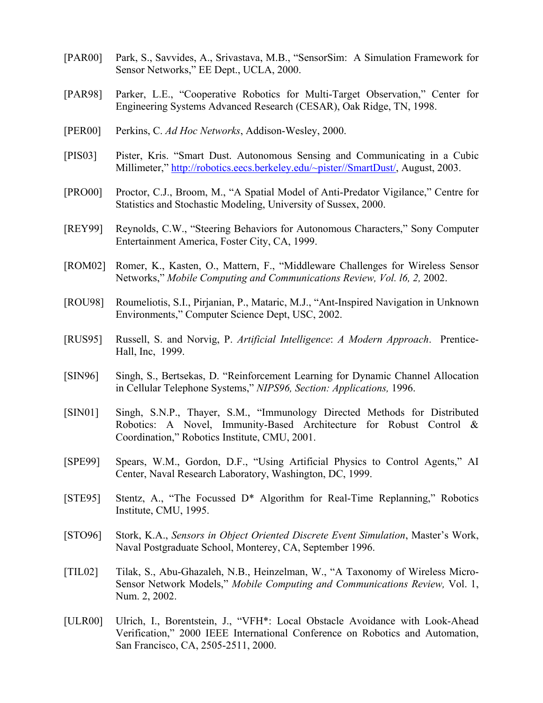- [PAR00] Park, S., Savvides, A., Srivastava, M.B., "SensorSim: A Simulation Framework for Sensor Networks," EE Dept., UCLA, 2000.
- [PAR98] Parker, L.E., "Cooperative Robotics for Multi-Target Observation," Center for Engineering Systems Advanced Research (CESAR), Oak Ridge, TN, 1998.
- [PER00] Perkins, C. *Ad Hoc Networks*, Addison-Wesley, 2000.
- [PIS03] Pister, Kris. "Smart Dust. Autonomous Sensing and Communicating in a Cubic Millimeter," http://robotics.eecs.berkeley.edu/~pister//SmartDust/, August, 2003.
- [PRO00] Proctor, C.J., Broom, M., "A Spatial Model of Anti-Predator Vigilance," Centre for Statistics and Stochastic Modeling, University of Sussex, 2000.
- [REY99] Reynolds, C.W., "Steering Behaviors for Autonomous Characters," Sony Computer Entertainment America, Foster City, CA, 1999.
- [ROM02] Romer, K., Kasten, O., Mattern, F., "Middleware Challenges for Wireless Sensor Networks," *Mobile Computing and Communications Review, Vol. l6, 2,* 2002.
- [ROU98] Roumeliotis, S.I., Pirjanian, P., Mataric, M.J., "Ant-Inspired Navigation in Unknown Environments," Computer Science Dept, USC, 2002.
- [RUS95] Russell, S. and Norvig, P. *Artificial Intelligence*: *A Modern Approach*. Prentice-Hall, Inc, 1999.
- [SIN96] Singh, S., Bertsekas, D. "Reinforcement Learning for Dynamic Channel Allocation in Cellular Telephone Systems," *NIPS96, Section: Applications,* 1996.
- [SIN01] Singh, S.N.P., Thayer, S.M., "Immunology Directed Methods for Distributed Robotics: A Novel, Immunity-Based Architecture for Robust Control & Coordination," Robotics Institute, CMU, 2001.
- [SPE99] Spears, W.M., Gordon, D.F., "Using Artificial Physics to Control Agents," AI Center, Naval Research Laboratory, Washington, DC, 1999.
- [STE95] Stentz, A., "The Focussed D\* Algorithm for Real-Time Replanning," Robotics Institute, CMU, 1995.
- [STO96] Stork, K.A., *Sensors in Object Oriented Discrete Event Simulation*, Master's Work, Naval Postgraduate School, Monterey, CA, September 1996.
- [TIL02] Tilak, S., Abu-Ghazaleh, N.B., Heinzelman, W., "A Taxonomy of Wireless Micro-Sensor Network Models," *Mobile Computing and Communications Review,* Vol. 1, Num. 2, 2002.
- [ULR00] Ulrich, I., Borentstein, J., "VFH\*: Local Obstacle Avoidance with Look-Ahead Verification," 2000 IEEE International Conference on Robotics and Automation, San Francisco, CA, 2505-2511, 2000.